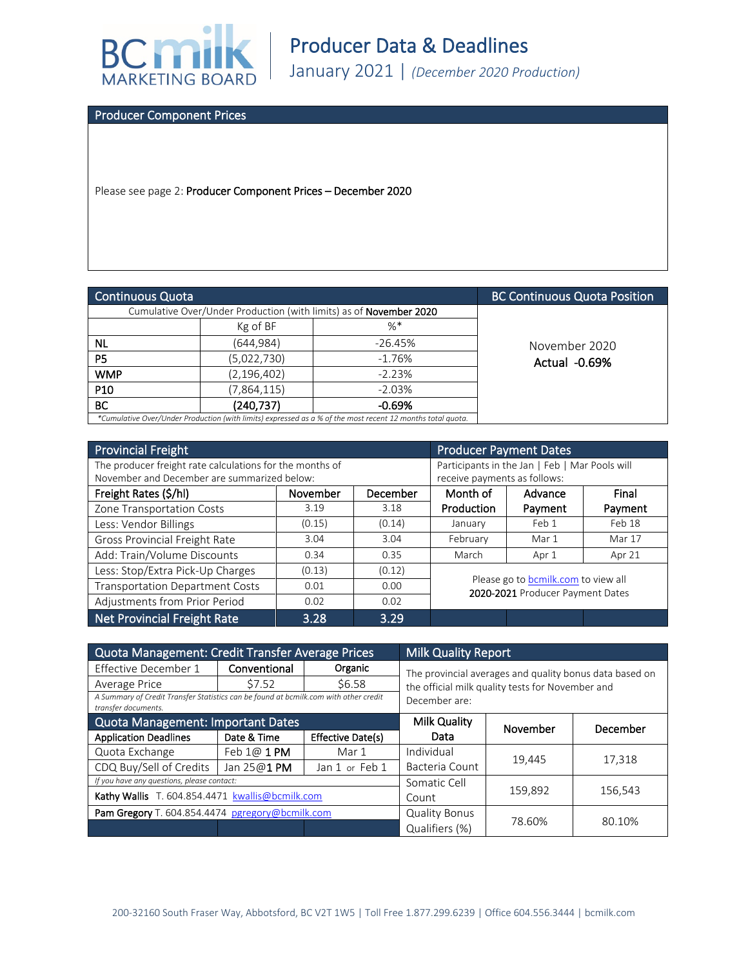

Producer Component Prices

Please see page 2: Producer Component Prices – December 2020

| Continuous Quota                                                                                           |                                                                           |           | <b>BC Continuous Quota Position</b> |
|------------------------------------------------------------------------------------------------------------|---------------------------------------------------------------------------|-----------|-------------------------------------|
|                                                                                                            | Cumulative Over/Under Production (with limits) as of <b>November 2020</b> |           |                                     |
|                                                                                                            | Kg of BF                                                                  | $%$ *     |                                     |
| ΝL                                                                                                         | (644,984)                                                                 | $-26.45%$ | November 2020                       |
| P <sub>5</sub>                                                                                             | (5,022,730)                                                               | $-1.76%$  | Actual -0.69%                       |
| <b>WMP</b>                                                                                                 | (2, 196, 402)                                                             | $-2.23%$  |                                     |
| P <sub>10</sub>                                                                                            | (7,864,115)                                                               | $-2.03%$  |                                     |
| <b>BC</b>                                                                                                  | (240, 737)                                                                | $-0.69%$  |                                     |
| *Cumulative Over/Under Production (with limits) expressed as a % of the most recent 12 months total quota. |                                                                           |           |                                     |

| <b>Provincial Freight</b>                                | <b>Producer Payment Dates</b>                  |          |                                                                         |         |         |
|----------------------------------------------------------|------------------------------------------------|----------|-------------------------------------------------------------------------|---------|---------|
| The producer freight rate calculations for the months of | Participants in the Jan   Feb   Mar Pools will |          |                                                                         |         |         |
| November and December are summarized below:              |                                                |          | receive payments as follows:                                            |         |         |
| Freight Rates (\$/hl)                                    | November                                       | December | Month of                                                                | Advance | Final   |
| Zone Transportation Costs                                | 3.19                                           | 3.18     | Production                                                              | Payment | Payment |
| Less: Vendor Billings                                    | (0.15)                                         | (0.14)   | January                                                                 | Feb 1   | Feb 18  |
| Gross Provincial Freight Rate                            | 3.04                                           | 3.04     | February                                                                | Mar 1   | Mar 17  |
| Add: Train/Volume Discounts                              | 0.34                                           | 0.35     | March                                                                   | Apr 1   | Apr 21  |
| Less: Stop/Extra Pick-Up Charges                         | (0.13)                                         | (0.12)   |                                                                         |         |         |
| <b>Transportation Department Costs</b>                   | 0.01                                           | 0.00     | Please go to bcmilk.com to view all<br>2020-2021 Producer Payment Dates |         |         |
| Adjustments from Prior Period                            | 0.02                                           | 0.02     |                                                                         |         |         |
| Net Provincial Freight Rate                              | 3.28                                           | 3.29     |                                                                         |         |         |

| Quota Management: Credit Transfer Average Prices                                                            |              |                      | <b>Milk Quality Report</b>                                                                                  |          |          |
|-------------------------------------------------------------------------------------------------------------|--------------|----------------------|-------------------------------------------------------------------------------------------------------------|----------|----------|
| Effective December 1                                                                                        | Conventional | Organic              | The provincial averages and quality bonus data based on<br>the official milk quality tests for November and |          |          |
| Average Price                                                                                               | \$7.52       | \$6.58               |                                                                                                             |          |          |
| A Summary of Credit Transfer Statistics can be found at bcmilk.com with other credit<br>transfer documents. |              |                      | December are:                                                                                               |          |          |
| Quota Management: Important Dates                                                                           |              |                      | Milk Quality                                                                                                | November | December |
| <b>Application Deadlines</b>                                                                                | Date & Time  | Effective Date(s)    | Data                                                                                                        |          |          |
| Quota Exchange                                                                                              | Feb 1@ 1 PM  | Mar 1                | Individual                                                                                                  | 19,445   | 17,318   |
| CDQ Buy/Sell of Credits                                                                                     | Jan 25@1 PM  | Jan 1 or Feb 1       | Bacteria Count                                                                                              |          |          |
| If you have any questions, please contact:                                                                  |              |                      | Somatic Cell                                                                                                |          |          |
| Kathy Wallis T. 604.854.4471 kwallis@bcmilk.com                                                             |              |                      | Count                                                                                                       | 159,892  | 156,543  |
| Pam Gregory T. 604.854.4474 pgregory@bcmilk.com                                                             |              | <b>Quality Bonus</b> |                                                                                                             |          |          |
|                                                                                                             |              |                      | Qualifiers (%)                                                                                              | 78.60%   | 80.10%   |